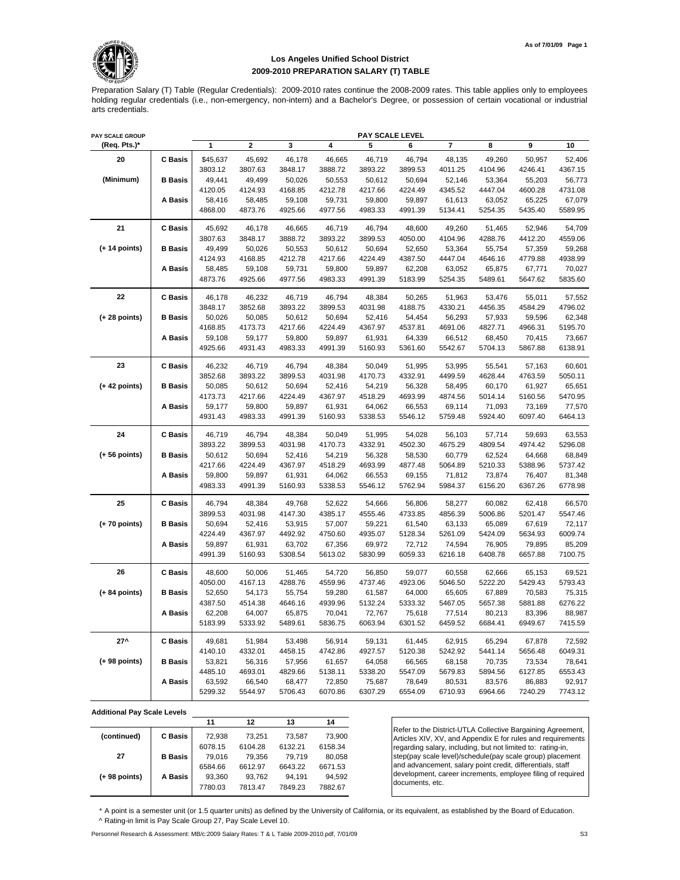

## **Los Angeles Unified School District 2009-2010 PREPARATION SALARY (T) TABLE**

Preparation Salary (T) Table (Regular Credentials): 2009-2010 rates continue the 2008-2009 rates. This table applies only to employees holding regular credentials (i.e., non-emergency, non-intern) and a Bachelor's Degree, or possession of certain vocational or industrial arts credentials.

| PAY SCALE GROUP |                |          |                         |         |         | PAY SCALE LEVEL |         |                         |         |         |         |
|-----------------|----------------|----------|-------------------------|---------|---------|-----------------|---------|-------------------------|---------|---------|---------|
| (Req. Pts.)*    |                | 1        | $\overline{\mathbf{2}}$ | 3       | 4       | 5               | 6       | $\overline{\mathbf{r}}$ | 8       | 9       | 10      |
| 20              | <b>C</b> Basis | \$45,637 | 45,692                  | 46,178  | 46,665  | 46,719          | 46,794  | 48,135                  | 49,260  | 50,957  | 52,406  |
|                 |                | 3803.12  | 3807.63                 | 3848.17 | 3888.72 | 3893.22         | 3899.53 | 4011.25                 | 4104.96 | 4246.41 | 4367.15 |
| (Minimum)       | <b>B</b> Basis | 49,441   | 49,499                  | 50,026  | 50,553  | 50,612          | 50,694  | 52,146                  | 53,364  | 55,203  | 56,773  |
|                 |                | 4120.05  | 4124.93                 | 4168.85 | 4212.78 | 4217.66         | 4224.49 | 4345.52                 | 4447.04 | 4600.28 | 4731.08 |
|                 | A Basis        | 58,416   | 58,485                  | 59,108  | 59,731  | 59,800          | 59,897  | 61,613                  | 63,052  | 65,225  | 67,079  |
|                 |                | 4868.00  | 4873.76                 | 4925.66 | 4977.56 | 4983.33         | 4991.39 | 5134.41                 | 5254.35 | 5435.40 | 5589.95 |
| 21              | <b>C</b> Basis | 45,692   | 46,178                  | 46,665  | 46,719  | 46,794          | 48,600  | 49,260                  | 51,465  | 52,946  | 54,709  |
|                 |                | 3807.63  | 3848.17                 | 3888.72 | 3893.22 | 3899.53         | 4050.00 | 4104.96                 | 4288.76 | 4412.20 | 4559.06 |
| $(+ 14$ points) | <b>B</b> Basis | 49,499   | 50,026                  | 50,553  | 50,612  | 50,694          | 52,650  | 53,364                  | 55,754  | 57,359  | 59,268  |
|                 |                | 4124.93  | 4168.85                 | 4212.78 | 4217.66 | 4224.49         | 4387.50 | 4447.04                 | 4646.16 | 4779.88 | 4938.99 |
|                 | A Basis        | 58,485   | 59,108                  | 59,731  | 59,800  | 59,897          | 62,208  | 63,052                  | 65,875  | 67,771  | 70,027  |
|                 |                | 4873.76  | 4925.66                 | 4977.56 | 4983.33 | 4991.39         | 5183.99 | 5254.35                 | 5489.61 | 5647.62 | 5835.60 |
| 22              | <b>C</b> Basis | 46,178   | 46,232                  | 46,719  | 46,794  | 48,384          | 50,265  | 51,963                  | 53,476  | 55,011  | 57,552  |
|                 |                | 3848.17  | 3852.68                 | 3893.22 | 3899.53 | 4031.98         | 4188.75 | 4330.21                 | 4456.35 | 4584.29 | 4796.02 |
| (+ 28 points)   | <b>B</b> Basis | 50,026   | 50,085                  | 50,612  | 50,694  | 52,416          | 54,454  | 56,293                  | 57,933  | 59,596  | 62,348  |
|                 |                | 4168.85  | 4173.73                 | 4217.66 | 4224.49 | 4367.97         | 4537.81 | 4691.06                 | 4827.71 | 4966.31 | 5195.70 |
|                 | A Basis        | 59,108   | 59,177                  | 59,800  | 59,897  | 61,931          | 64,339  | 66,512                  | 68,450  | 70,415  | 73,667  |
|                 |                | 4925.66  | 4931.43                 | 4983.33 | 4991.39 | 5160.93         | 5361.60 | 5542.67                 | 5704.13 | 5867.88 | 6138.91 |
| 23              | <b>C</b> Basis | 46,232   | 46,719                  | 46,794  | 48,384  | 50,049          | 51,995  | 53,995                  | 55,541  | 57,163  | 60,601  |
|                 |                | 3852.68  | 3893.22                 | 3899.53 | 4031.98 | 4170.73         | 4332.91 | 4499.59                 | 4628.44 | 4763.59 | 5050.11 |
| $(+ 42$ points) | <b>B</b> Basis | 50,085   | 50,612                  | 50,694  | 52,416  | 54,219          | 56,328  | 58,495                  | 60,170  | 61,927  | 65,651  |
|                 |                | 4173.73  | 4217.66                 | 4224.49 | 4367.97 | 4518.29         | 4693.99 | 4874.56                 | 5014.14 | 5160.56 | 5470.95 |
|                 | A Basis        | 59,177   | 59,800                  | 59,897  | 61,931  | 64,062          | 66,553  | 69,114                  | 71,093  | 73,169  | 77,570  |
|                 |                | 4931.43  | 4983.33                 | 4991.39 | 5160.93 | 5338.53         | 5546.12 | 5759.48                 | 5924.40 | 6097.40 | 6464.13 |
| 24              | <b>C</b> Basis | 46,719   | 46,794                  | 48,384  | 50,049  | 51,995          | 54,028  | 56,103                  | 57,714  | 59,693  | 63,553  |
|                 |                | 3893.22  | 3899.53                 | 4031.98 | 4170.73 | 4332.91         | 4502.30 | 4675.29                 | 4809.54 | 4974.42 | 5296.08 |
| (+ 56 points)   | <b>B</b> Basis | 50,612   | 50,694                  | 52,416  | 54,219  | 56,328          | 58,530  | 60,779                  | 62,524  | 64,668  | 68,849  |
|                 |                | 4217.66  | 4224.49                 | 4367.97 | 4518.29 | 4693.99         | 4877.48 | 5064.89                 | 5210.33 | 5388.96 | 5737.42 |
|                 | A Basis        | 59,800   | 59,897                  | 61,931  | 64,062  | 66,553          | 69,155  | 71,812                  | 73,874  | 76,407  | 81,348  |
|                 |                | 4983.33  | 4991.39                 | 5160.93 | 5338.53 | 5546.12         | 5762.94 | 5984.37                 | 6156.20 | 6367.26 | 6778.98 |
| 25              | <b>C</b> Basis | 46,794   | 48,384                  | 49,768  | 52,622  | 54,666          | 56,806  | 58,277                  | 60,082  | 62,418  | 66,570  |
|                 |                | 3899.53  | 4031.98                 | 4147.30 | 4385.17 | 4555.46         | 4733.85 | 4856.39                 | 5006.86 | 5201.47 | 5547.46 |
| (+ 70 points)   | <b>B</b> Basis | 50,694   | 52,416                  | 53,915  | 57,007  | 59,221          | 61,540  | 63,133                  | 65,089  | 67,619  | 72,117  |
|                 |                | 4224.49  | 4367.97                 | 4492.92 | 4750.60 | 4935.07         | 5128.34 | 5261.09                 | 5424.09 | 5634.93 | 6009.74 |
|                 | A Basis        | 59,897   | 61,931                  | 63,702  | 67,356  | 69,972          | 72,712  | 74,594                  | 76,905  | 79,895  | 85,209  |
|                 |                | 4991.39  | 5160.93                 | 5308.54 | 5613.02 | 5830.99         | 6059.33 | 6216.18                 | 6408.78 | 6657.88 | 7100.75 |
| 26              | <b>C</b> Basis | 48,600   | 50,006                  | 51,465  | 54,720  | 56,850          | 59,077  | 60,558                  | 62,666  | 65,153  | 69,521  |
|                 |                | 4050.00  | 4167.13                 | 4288.76 | 4559.96 | 4737.46         | 4923.06 | 5046.50                 | 5222.20 | 5429.43 | 5793.43 |
| $(+ 84$ points) | <b>B</b> Basis | 52,650   | 54,173                  | 55,754  | 59,280  | 61,587          | 64,000  | 65,605                  | 67,889  | 70,583  | 75,315  |
|                 |                | 4387.50  | 4514.38                 | 4646.16 | 4939.96 | 5132.24         | 5333.32 | 5467.05                 | 5657.38 | 5881.88 | 6276.22 |
|                 | A Basis        | 62,208   | 64,007                  | 65,875  | 70,041  | 72,767          | 75,618  | 77,514                  | 80,213  | 83,396  | 88,987  |
|                 |                | 5183.99  | 5333.92                 | 5489.61 | 5836.75 | 6063.94         | 6301.52 | 6459.52                 | 6684.41 | 6949.67 | 7415.59 |
| $27^{\circ}$    | <b>C</b> Basis | 49,681   | 51,984                  | 53,498  | 56,914  | 59,131          | 61,445  | 62,915                  | 65,294  | 67,878  | 72,592  |
|                 |                | 4140.10  | 4332.01                 | 4458.15 | 4742.86 | 4927.57         | 5120.38 | 5242.92                 | 5441.14 | 5656.48 | 6049.31 |
| (+ 98 points)   | <b>B</b> Basis | 53,821   | 56,316                  | 57,956  | 61,657  | 64,058          | 66,565  | 68,158                  | 70,735  | 73,534  | 78,641  |
|                 |                | 4485.10  | 4693.01                 | 4829.66 | 5138.11 | 5338.20         | 5547.09 | 5679.83                 | 5894.56 | 6127.85 | 6553.43 |
|                 | A Basis        | 63,592   | 66,540                  | 68,477  | 72,850  | 75,687          | 78,649  | 80,531                  | 83,576  | 86,883  | 92,917  |
|                 |                | 5299.32  | 5544.97                 | 5706.43 | 6070.86 | 6307.29         | 6554.09 | 6710.93                 | 6964.66 | 7240.29 | 7743.12 |

**Additional Pay Scale Levels**

|                 |                | 11      | 12      | 13      | 14      |
|-----------------|----------------|---------|---------|---------|---------|
| (continued)     | C Basis        | 72.938  | 73.251  | 73.587  | 73,900  |
|                 |                | 6078.15 | 6104.28 | 6132.21 | 6158.34 |
| 27              | <b>B</b> Basis | 79.016  | 79.356  | 79.719  | 80,058  |
|                 |                | 6584.66 | 6612.97 | 6643.22 | 6671.53 |
| $(+ 98$ points) | A Basis        | 93.360  | 93.762  | 94.191  | 94.592  |
|                 |                | 7780.03 | 7813.47 | 7849.23 | 7882.67 |
|                 |                |         |         |         |         |

Refer to the District-UTLA Collective Bargaining Agreement, Articles XIV, XV, and Appendix E for rules and requirements regarding salary, including, but not limited to: rating-in, step(pay scale level)/schedule(pay scale group) placement and advancement, salary point credit, differentials, staff development, career increments, employee filing of required documents, etc.

\* A point is a semester unit (or 1.5 quarter units) as defined by the University of California, or its equivalent, as established by the Board of Education. ^ Rating-in limit is Pay Scale Group 27, Pay Scale Level 10.

Personnel Research & Assessment: MB/c:2009 Salary Rates: T & L Table 2009-2010.pdf, 7/01/09 S3